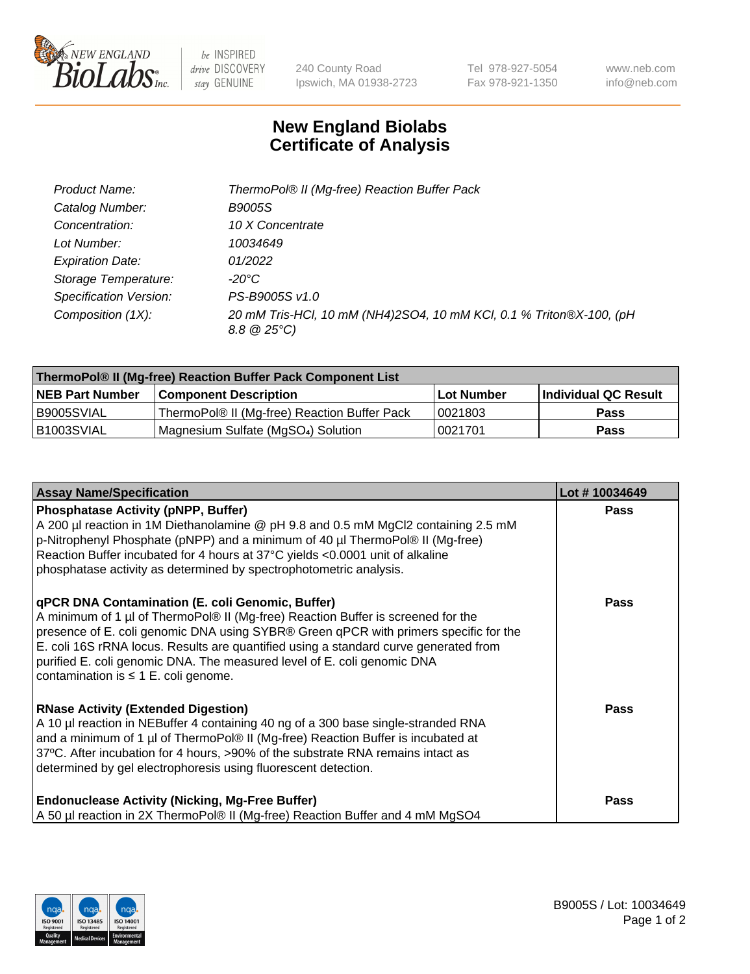

 $be$  INSPIRED drive DISCOVERY stay GENUINE

240 County Road Ipswich, MA 01938-2723 Tel 978-927-5054 Fax 978-921-1350 www.neb.com info@neb.com

## **New England Biolabs Certificate of Analysis**

| Product Name:           | ThermoPol® II (Mg-free) Reaction Buffer Pack                                                   |
|-------------------------|------------------------------------------------------------------------------------------------|
| Catalog Number:         | B9005S                                                                                         |
| Concentration:          | 10 X Concentrate                                                                               |
| Lot Number:             | 10034649                                                                                       |
| <b>Expiration Date:</b> | 01/2022                                                                                        |
| Storage Temperature:    | -20°C                                                                                          |
| Specification Version:  | PS-B9005S v1.0                                                                                 |
| Composition (1X):       | 20 mM Tris-HCl, 10 mM (NH4)2SO4, 10 mM KCl, 0.1 % Triton®X-100, (pH<br>$8.8 \circ 25^{\circ}C$ |

| ThermoPol® II (Mg-free) Reaction Buffer Pack Component List |                                              |            |                      |  |
|-------------------------------------------------------------|----------------------------------------------|------------|----------------------|--|
| <b>NEB Part Number</b>                                      | <b>Component Description</b>                 | Lot Number | Individual QC Result |  |
| I B9005SVIAL                                                | ThermoPol® II (Mg-free) Reaction Buffer Pack | 10021803   | Pass                 |  |
| IB1003SVIAL                                                 | Magnesium Sulfate (MgSO4) Solution           | 10021701   | Pass                 |  |

| <b>Assay Name/Specification</b>                                                                                                                                                                                                                                                                                                                                                                                                              | Lot #10034649 |
|----------------------------------------------------------------------------------------------------------------------------------------------------------------------------------------------------------------------------------------------------------------------------------------------------------------------------------------------------------------------------------------------------------------------------------------------|---------------|
| <b>Phosphatase Activity (pNPP, Buffer)</b><br>A 200 µl reaction in 1M Diethanolamine @ pH 9.8 and 0.5 mM MgCl2 containing 2.5 mM<br>p-Nitrophenyl Phosphate (pNPP) and a minimum of 40 µl ThermoPol® II (Mg-free)<br>Reaction Buffer incubated for 4 hours at 37°C yields <0.0001 unit of alkaline<br>phosphatase activity as determined by spectrophotometric analysis.                                                                     | <b>Pass</b>   |
| qPCR DNA Contamination (E. coli Genomic, Buffer)<br>A minimum of 1 µl of ThermoPol® II (Mg-free) Reaction Buffer is screened for the<br>presence of E. coli genomic DNA using SYBR® Green qPCR with primers specific for the<br>E. coli 16S rRNA locus. Results are quantified using a standard curve generated from<br>purified E. coli genomic DNA. The measured level of E. coli genomic DNA<br>contamination is $\leq 1$ E. coli genome. | <b>Pass</b>   |
| <b>RNase Activity (Extended Digestion)</b><br>A 10 µl reaction in NEBuffer 4 containing 40 ng of a 300 base single-stranded RNA<br>and a minimum of 1 µl of ThermoPol® II (Mg-free) Reaction Buffer is incubated at<br>37°C. After incubation for 4 hours, >90% of the substrate RNA remains intact as<br>determined by gel electrophoresis using fluorescent detection.                                                                     | Pass          |
| <b>Endonuclease Activity (Nicking, Mg-Free Buffer)</b><br>A 50 µl reaction in 2X ThermoPol® II (Mg-free) Reaction Buffer and 4 mM MgSO4                                                                                                                                                                                                                                                                                                      | <b>Pass</b>   |